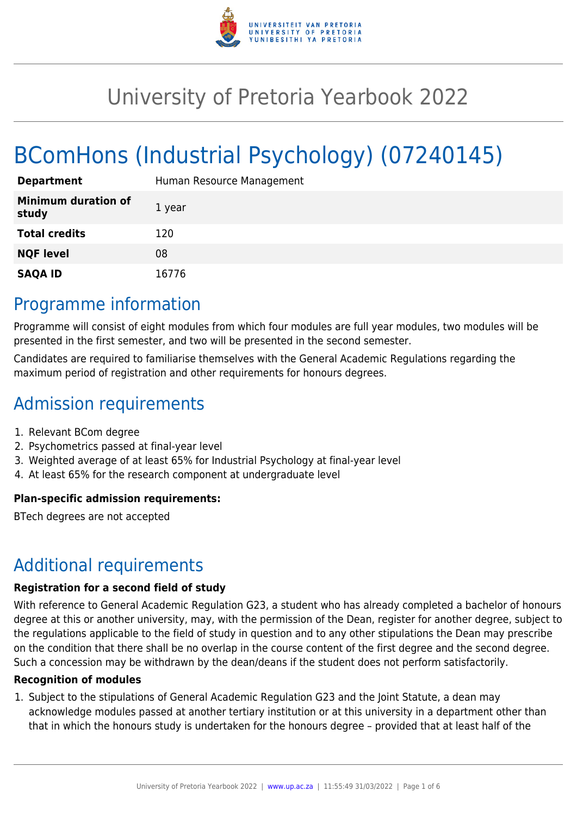

# University of Pretoria Yearbook 2022

# BComHons (Industrial Psychology) (07240145)

| <b>Department</b>                   | Human Resource Management |
|-------------------------------------|---------------------------|
| <b>Minimum duration of</b><br>study | 1 year                    |
| <b>Total credits</b>                | 120                       |
| <b>NQF level</b>                    | 08                        |
| <b>SAQA ID</b>                      | 16776                     |

# Programme information

Programme will consist of eight modules from which four modules are full year modules, two modules will be presented in the first semester, and two will be presented in the second semester.

Candidates are required to familiarise themselves with the General Academic Regulations regarding the maximum period of registration and other requirements for honours degrees.

# Admission requirements

- 1. Relevant BCom degree
- 2. Psychometrics passed at final-year level
- 3. Weighted average of at least 65% for Industrial Psychology at final-year level
- 4. At least 65% for the research component at undergraduate level

### **Plan-specific admission requirements:**

BTech degrees are not accepted

# Additional requirements

#### **Registration for a second field of study**

With reference to General Academic Regulation G23, a student who has already completed a bachelor of honours degree at this or another university, may, with the permission of the Dean, register for another degree, subject to the regulations applicable to the field of study in question and to any other stipulations the Dean may prescribe on the condition that there shall be no overlap in the course content of the first degree and the second degree. Such a concession may be withdrawn by the dean/deans if the student does not perform satisfactorily.

#### **Recognition of modules**

1. Subject to the stipulations of General Academic Regulation G23 and the Joint Statute, a dean may acknowledge modules passed at another tertiary institution or at this university in a department other than that in which the honours study is undertaken for the honours degree – provided that at least half of the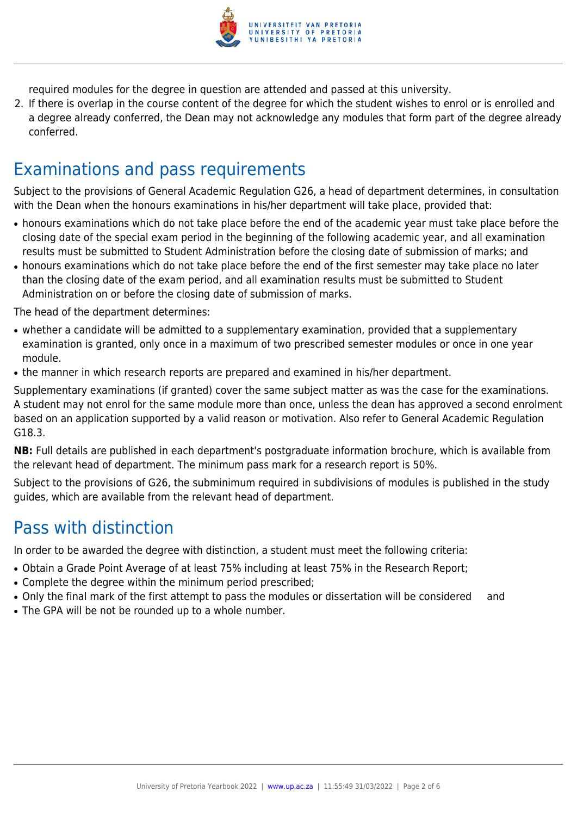

required modules for the degree in question are attended and passed at this university.

2. If there is overlap in the course content of the degree for which the student wishes to enrol or is enrolled and a degree already conferred, the Dean may not acknowledge any modules that form part of the degree already conferred.

# Examinations and pass requirements

Subject to the provisions of General Academic Regulation G26, a head of department determines, in consultation with the Dean when the honours examinations in his/her department will take place, provided that:

- honours examinations which do not take place before the end of the academic year must take place before the closing date of the special exam period in the beginning of the following academic year, and all examination results must be submitted to Student Administration before the closing date of submission of marks; and
- honours examinations which do not take place before the end of the first semester may take place no later than the closing date of the exam period, and all examination results must be submitted to Student Administration on or before the closing date of submission of marks.

The head of the department determines:

- whether a candidate will be admitted to a supplementary examination, provided that a supplementary examination is granted, only once in a maximum of two prescribed semester modules or once in one year module.
- the manner in which research reports are prepared and examined in his/her department.

Supplementary examinations (if granted) cover the same subject matter as was the case for the examinations. A student may not enrol for the same module more than once, unless the dean has approved a second enrolment based on an application supported by a valid reason or motivation. Also refer to General Academic Regulation G18.3.

**NB:** Full details are published in each department's postgraduate information brochure, which is available from the relevant head of department. The minimum pass mark for a research report is 50%.

Subject to the provisions of G26, the subminimum required in subdivisions of modules is published in the study guides, which are available from the relevant head of department.

# Pass with distinction

In order to be awarded the degree with distinction, a student must meet the following criteria:

- Obtain a Grade Point Average of at least 75% including at least 75% in the Research Report;
- Complete the degree within the minimum period prescribed:
- Only the final mark of the first attempt to pass the modules or dissertation will be considered and
- The GPA will be not be rounded up to a whole number.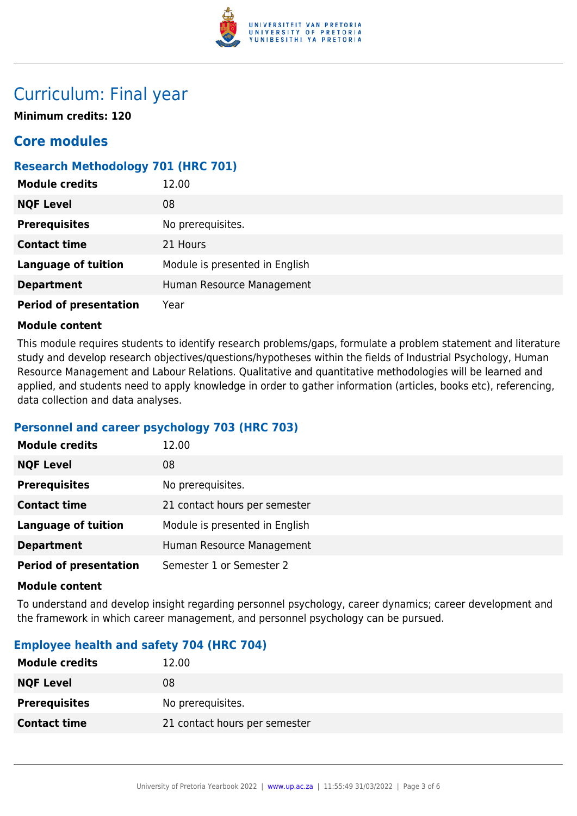

# Curriculum: Final year

**Minimum credits: 120**

# **Core modules**

## **Research Methodology 701 (HRC 701)**

| <b>Module credits</b>         | 12.00                          |
|-------------------------------|--------------------------------|
| <b>NQF Level</b>              | 08                             |
| <b>Prerequisites</b>          | No prerequisites.              |
| <b>Contact time</b>           | 21 Hours                       |
| <b>Language of tuition</b>    | Module is presented in English |
| <b>Department</b>             | Human Resource Management      |
| <b>Period of presentation</b> | Year                           |

#### **Module content**

This module requires students to identify research problems/gaps, formulate a problem statement and literature study and develop research objectives/questions/hypotheses within the fields of Industrial Psychology, Human Resource Management and Labour Relations. Qualitative and quantitative methodologies will be learned and applied, and students need to apply knowledge in order to gather information (articles, books etc), referencing, data collection and data analyses.

### **Personnel and career psychology 703 (HRC 703)**

| <b>Module credits</b>         | 12.00                          |
|-------------------------------|--------------------------------|
| <b>NQF Level</b>              | 08                             |
| <b>Prerequisites</b>          | No prerequisites.              |
| <b>Contact time</b>           | 21 contact hours per semester  |
| <b>Language of tuition</b>    | Module is presented in English |
| <b>Department</b>             | Human Resource Management      |
| <b>Period of presentation</b> | Semester 1 or Semester 2       |

#### **Module content**

To understand and develop insight regarding personnel psychology, career dynamics; career development and the framework in which career management, and personnel psychology can be pursued.

### **Employee health and safety 704 (HRC 704)**

| 12.00                         |
|-------------------------------|
| 08                            |
| No prerequisites.             |
| 21 contact hours per semester |
|                               |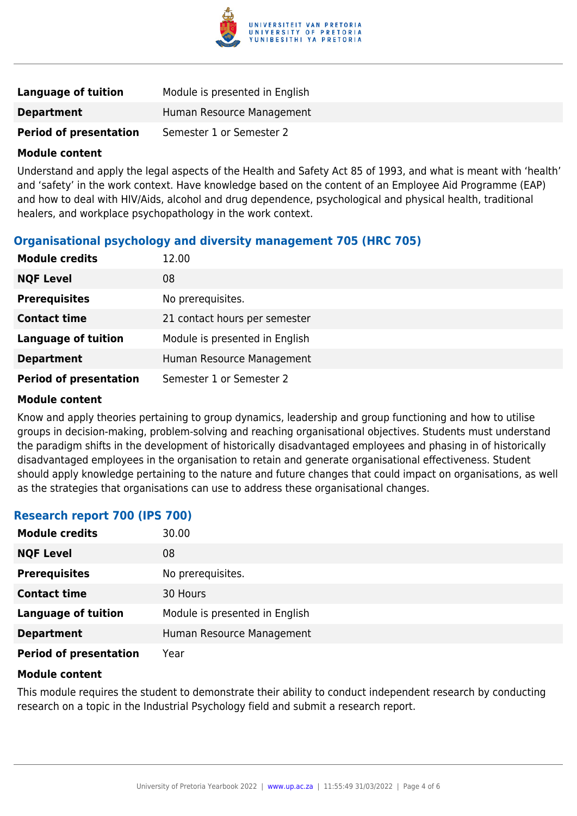

| Language of tuition           | Module is presented in English |
|-------------------------------|--------------------------------|
| <b>Department</b>             | Human Resource Management      |
| <b>Period of presentation</b> | Semester 1 or Semester 2       |

#### **Module content**

Understand and apply the legal aspects of the Health and Safety Act 85 of 1993, and what is meant with 'health' and 'safety' in the work context. Have knowledge based on the content of an Employee Aid Programme (EAP) and how to deal with HIV/Aids, alcohol and drug dependence, psychological and physical health, traditional healers, and workplace psychopathology in the work context.

### **Organisational psychology and diversity management 705 (HRC 705)**

| <b>Module credits</b>         | 12.00                          |
|-------------------------------|--------------------------------|
| <b>NQF Level</b>              | 08                             |
| <b>Prerequisites</b>          | No prerequisites.              |
| <b>Contact time</b>           | 21 contact hours per semester  |
| <b>Language of tuition</b>    | Module is presented in English |
| <b>Department</b>             | Human Resource Management      |
| <b>Period of presentation</b> | Semester 1 or Semester 2       |

#### **Module content**

Know and apply theories pertaining to group dynamics, leadership and group functioning and how to utilise groups in decision-making, problem-solving and reaching organisational objectives. Students must understand the paradigm shifts in the development of historically disadvantaged employees and phasing in of historically disadvantaged employees in the organisation to retain and generate organisational effectiveness. Student should apply knowledge pertaining to the nature and future changes that could impact on organisations, as well as the strategies that organisations can use to address these organisational changes.

### **Research report 700 (IPS 700)**

| <b>Module credits</b>         | 30.00                          |
|-------------------------------|--------------------------------|
| <b>NQF Level</b>              | 08                             |
| <b>Prerequisites</b>          | No prerequisites.              |
| <b>Contact time</b>           | 30 Hours                       |
| <b>Language of tuition</b>    | Module is presented in English |
| <b>Department</b>             | Human Resource Management      |
| <b>Period of presentation</b> | Year                           |

#### **Module content**

This module requires the student to demonstrate their ability to conduct independent research by conducting research on a topic in the Industrial Psychology field and submit a research report.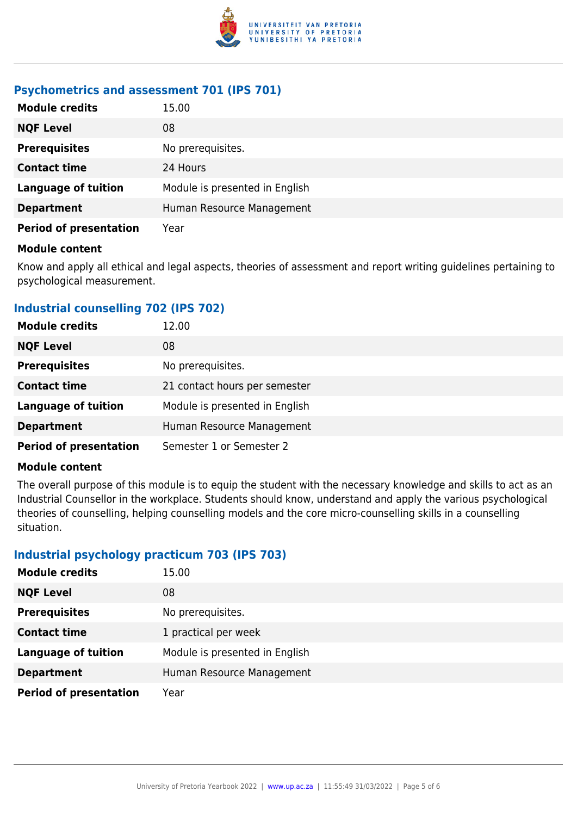

#### **Psychometrics and assessment 701 (IPS 701)**

| <b>Module credits</b>         | 15.00                          |
|-------------------------------|--------------------------------|
| <b>NQF Level</b>              | 08                             |
| <b>Prerequisites</b>          | No prerequisites.              |
| <b>Contact time</b>           | 24 Hours                       |
| <b>Language of tuition</b>    | Module is presented in English |
| <b>Department</b>             | Human Resource Management      |
| <b>Period of presentation</b> | Year                           |

#### **Module content**

Know and apply all ethical and legal aspects, theories of assessment and report writing guidelines pertaining to psychological measurement.

## **Industrial counselling 702 (IPS 702)**

| <b>Module credits</b>         | 12.00                          |
|-------------------------------|--------------------------------|
| <b>NQF Level</b>              | 08                             |
| <b>Prerequisites</b>          | No prerequisites.              |
| <b>Contact time</b>           | 21 contact hours per semester  |
| <b>Language of tuition</b>    | Module is presented in English |
| <b>Department</b>             | Human Resource Management      |
| <b>Period of presentation</b> | Semester 1 or Semester 2       |

#### **Module content**

The overall purpose of this module is to equip the student with the necessary knowledge and skills to act as an Industrial Counsellor in the workplace. Students should know, understand and apply the various psychological theories of counselling, helping counselling models and the core micro-counselling skills in a counselling situation.

### **Industrial psychology practicum 703 (IPS 703)**

| <b>Module credits</b>         | 15.00                          |
|-------------------------------|--------------------------------|
| <b>NQF Level</b>              | 08                             |
| <b>Prerequisites</b>          | No prerequisites.              |
| <b>Contact time</b>           | 1 practical per week           |
| <b>Language of tuition</b>    | Module is presented in English |
| <b>Department</b>             | Human Resource Management      |
| <b>Period of presentation</b> | Year                           |